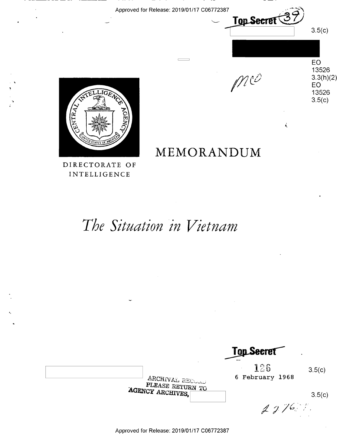Approved for Release: 2019/01/17 006772387

-\_.-' \U'

 $\equiv$ 

**MEMORANDUM**  MEMORANDUM

 $M$ 

Top Secret<sup></sup>

3.5(c)

EO

EO 13526

į,

13526 13526

3.3(<mark>h)(2)</mark><br>EO<br>13526

 $3.5(c)$ 



.,.

DIRECTORATE OF DIRECTORATE OF **INTELLIGENCE** 

# The Situation in Vietnam

|                                                         | <b>Top Secret</b>                | $\bullet$ |
|---------------------------------------------------------|----------------------------------|-----------|
| ARCHIVAL RECORD<br>PLEASE RETURN TO<br>AGENCY ARCHIVES, | 126<br>$\sim$<br>6 February 1968 | 3.5(c)    |
|                                                         | 2276.7                           | 3.5(c)    |

Approved for Release: 2019/01/17 C06772387 Approved for Release: 2019/01/17 006772387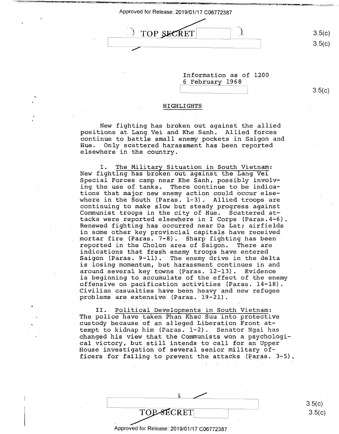TOP SECRET

3.5(c)

3.5(c)

3.5(c)

Iriformation as of 1200 Information as of 1200 6 February 1968 6 February 1968 E $3.5(c)$ 

#### **HIGHLIGHTS**  H IGHLI GHTS

New fighting has broken out against the allied New fighting has broken out against the allied \_positions at Lang Vei and Khe Sanh. Allied forces \_positions at Lang.Vei and Khe Sanh. Allied forces continue to battle small enemy pockets in Saigon and continue to battle small enemy\_pockets in Saigon and Hue. Only scattered harassment has been reported Hue. Only scattered harassment has been reported elsewhere in the country.

I. The Military Situation in South Vietnam: New fighting has broken out against the Lang Vei New fighting has broken out against the Lang Vei Special Forces camp near Khe Sanh, possibly involv-Special Forces camp near.Khe Sanh. possibly involving the use of tanks. There continue to be indica-ing the use of tanks. There continue to be indica tions that major new enemy action could occur elsetions that major new enemy action could occur else-<br>where in the South (Paras. 1-3). Allied troops are continuing to make slow but steady progress against continuing to make slow but steady.progress against \_ Communist troops in the city of Hue. Scattered at-Communist troops in the city of Hue. Scattered ate tacks were reported el~ewhere in I Corps (Paras.4-6). tacks were reported elSewhere in I Corps (Paras.4—6). Renewed fighting has occurred near Da Lat; airfields Renewed fighting has oCcurred near Da Lat; airfields in some other key provincial capitals have received in some other key provincial capitals have received. In bome benef  $nc_f$  provincial dapicals have received in the mortar fire (Paras. 7-8). Sharp fighting has been reported in the Cholon area of Saigon. There are reported in the Cholon area of Saigon. There are indications that fresh·enemy troops have entered indications that fresh enemy troops have entered Saigon (Paras. 9-11). The enemy drive in the delta Saigon (Paras. 9—ll). The enemy drive-in the delta is losing momentum, but harassment continues in and is losing momentum, but harassment continues in and around several key towns (Paras. 12-13). Evidence around several key towns (Paras. 12—13). Evidence ' is beginning to accumulate of the effect of the enemy is beginning to\_accumulate of the effect of the enemy offensive on paciiication ~ctivities (Paras. 14-18). offensive on pacification activities (Paras. 14-18). Civilian casualties have been heavy and.new refugee Civilian casualties haVe been heavy and\_new refugee problems are extensive (Paras. 19-21). where in the South (Paras. l—3). Allied tr00ps are

II. Political Developments in South Vietnam: II. Political Developments in South Vietnam: The police have taken Phan Khac Suu into protective The police have taken Phan Khac Suu into\_protectiVe Inc poirce have caken fhan knas bad inco processive<br>custody because of an alleged Liberation Front attempt to kidnap him (Paras. 1-2). Senator Ngai has tempt to kidnap him (Paras. l-2). Senator Ngai has changed his view that the Communists won a psychologi-changed his view thatthe Communists won <sup>a</sup> psychologi cal victory, but still intends to call for an Upper cal victory, but still intends to call for an Upper House investigation of several senior military of-House investigation of several senior military of nouse investigation of several sonics military of  $\frac{1}{2}$ .

 $\frac{1}{2}$ 

3.5(c) TOP-SECRET 3.5(c)  $\text{TOP-SECRET}$  3.5(c)

Approved for Release: 2019/01/17 C06772387 Approved for Release: 2019/01/17 006772387

Inn-—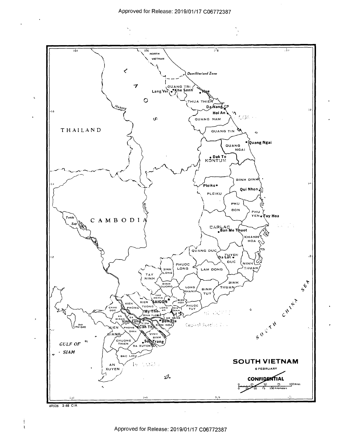

69526 2-68 CIA 69526 2-68 CIA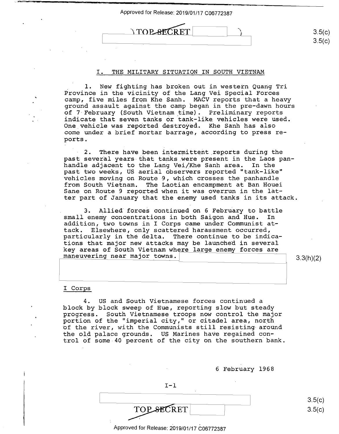TOP SECRET

## I. THE MILITARY SITUATION IN SOUTH VIETNAM I. THE MILITARY SITUATION IN SOUTH VIETNAM

1. New fighting has broken out in western Quang Tri . 1. New fighting has broken out in western Quang Tri Province in the vicinity of the Lang Vei Special Forces Province in the vicinity of the Lang Vei Special Forces camp, five miles from Khe Sanh. MACV reports that a heavy camp, five miles from Khe Sanh. MACV reports that <sup>a</sup> heavy ground assault against the camp began in the pre-dawn hours ground assault against the camp began in the pre—dawn hours of 7 February (South Vietnam time). Preliminary reports cf <sup>7</sup> February (Scuth Vietnam\_time). Preliminary reports indicate that seven tanks or tank-like vehicles were used. indicate that seven tanks Or tank—like vehicles were used. One\_vehic.le was reported destroyed. Khe Sanh has also One\_vehicle was repdrted destroyed. Khe Sanh has also come under a brief mortar barrage, according to press re-come under <sup>a</sup> brief mortar barrage, according to press re ports. ports.

2. There have been intermittent reports during the past several years that tanks .were present in the Laos pan-past several years-that tanks were present in the Laos panhandle adjacent to the Lang Vei/Khe Sanh area. In the handle adjacent to the Lang Vei/Khe Sanh area. In the past two weeks, US aerial observers reported "tank-like" past two weeks, US aerial observers reported "tank-like" vehicles moving on Route 9, which crosses the panhandle vehicles moving on Route 9,which crosses the panhandle from South Vietnam. The Laotian encampment at Ban Houei from South Vietnam. The Laotian encampment at Ban Houei rrom South Vietnam. The Laotian encampment at Ban Houei<br>Sane on Route 9 reported when it was overrun in the latter part of January that the enemy used tanks in its attack. ter part of January that the enemy used tanks in its attack.

3. Allied forces continued on 6 February to battle small enemy concentrations in both Saigon and Hue. In small enemy concentrations in both Saigon and Hue. In addition, two towns in I Corps came under Communist at-addition, two towns in I Corps came under Communist attack. Elsewhere, only scattered harassment occurred, tack. 'Elsewhere, only scattered harassment occurred, particularly in the delta. There continue to be indica-particularly in the delta. There continue to be indica particularly in the derival indic contrins to be indicated that major new attacks may be launched in several key areas of South Vietnam where large enemy forces are key areas of South Vietnam where lar-e enemy forces are maneuvering near major towns.  $\begin{bmatrix} 3.3(h)(2) \\ -1.3(h)(2) \end{bmatrix}$ 

3.5(c) 3.5(c)

3.5(c)  $3.5(c)$ 

### I Corps I Corps

'•

4. US and South Vietnamese forces continued a 4. US and South Vietnamese forces continued a block by block sweep of Hue, reporting slow but steady progress. South Vietnamese troops now control the major progress. South Vietnamese troops now control the major portion of the "imperial city," or citadel area, north portion of the "imperial city," or citadel area, north portion of the Theperial City, or Citadel area, horth<br>of the river, with the Communists still resisting around the old palace grounds. US Marines have regained con-the old palace grounds. US Marines haVe regained control of some-40 percent of the city on the southern bank. trol cf some-40 percent of the city on the southern bank.

> 6 February 1968 6 February 1968  $I-1$  $\fbox{TOP-SECRET}$ Approved for Release: 2019/01/17 C06772387  $\text{TOP}\text{-}\text{SECTION}\text{-}\text{OPT}$  3.5(c)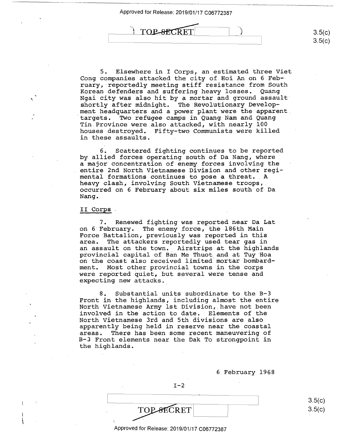)



5. Elsewhere in I Corps, an estimated three Viet 5. Elsewhere in I Corps, an\_estimated three Viet Cong companies attacked the city of Hoi An on 6 Feb-Cong companies attacked the city of.Hoi An on 6 Feb- comp companies accacked the city of not an on o repedding, experiency modeling belief reservative from practice and suffering heavy losses. Quang Nortan derinders and suffering neavy rosses. Quang<br>Ngai city was also hit by a mortar and ground assault shortly after midnight. The Revolutionary Develop-shortly after midnight. The Revolutionary Develop ment headquarters and a power plant were the apparent ment headquarters and <sup>a</sup> power plant were the-apparent. targets. Two refugee camps in Quang Nam and Quang 'targets. Two refugee camps in Quang Nam and Quang Tin Province were also attacked, with nearly 100 Tin.Province were also-attacked, with nearly 100 houses destroyed. Fifty-two Communists were killed houses destroyed. Fifty-two Communists were killed in these assaults. in these assaults.

6. Scattered fighting continues to be reported 6. Scattered fighting continues to be reported by allied forces operating south of Da Nang, where a major concentration of-enemy forces involving the <sup>a</sup> major concentration of enemy forces involving the entire 2nd North Vietnamese Division and other regi-entire 2nd North Vietnamese Division and other regi mental formations continues to pose a threat. A mental formations continues to pose <sup>a</sup> threat.. A heavy clash, involving South Vietnamese troops, occurred on 6 February about six miles south of Da occurred on 6 February about six miles south of-Da Nang. Nang.

## II. Corps II\_Corps.

I \,

7. Renewed fighting was reported near Da Lat 7. Renewed fighting was reported near Da Lat on 6 February. The enemy force, the 186th Main on 6 February. The enemy force, the-186th Main Force Battalion, previously was reported in this Force-Battalion, previously was reported in this area. The attackers reportedly used tear gas in area.' The attackers reportedly used tear gas in an assault on the town. Airstrips at the highlands an assault on the town. Airstrips at the highlands provincial capital of Ban Me Thuot and at Tuy Hoa provincial capital of Ban Me Thuot and at Tuy Hoa on the coast also received limited mortar bombard-on the coast also received limited mortar bombard ment. Most other provincial towns in the corps ment. Most other provincial towns in the corps were reported quiet, but several were tense and were reperted quiet, but several Were tense and expecting new attacks.

8. Substantial units subordinate to the B-3 8. Substantial units-subordinate to the B-3 Front in the highlands, including almost the entire Front in the highlands, including almost the entire North Vietnamese Army 1st Division, .. have not been North Vietnamese Army lst Division, have not been involved in the action to date. Elements of the involved in the action to date. Elements of the North Vietnamese 3rd and 5th divisions are also North Vietnamese 3rd and 5th divisions are also apparently being held in reserve near the coastal apparently being held in reserve near the coastal areas. There has been some recent maneuvering of areas. There has been some recent maneuvering of B-3 Front elements near the Dak To strongpoint in B-3 Front elements near the Dak To strongpoint in the highlands. the highlands.

6 February 1968 6 February 1968

 $3.5(c)$ 3.5(c)

 $I-2$ 

Approved for Release: 2019/01/17 C06772387 Approved for Release: 2019/01/17 006772387

TOPSECRET

 $3.5(c)$  $3.5(c)$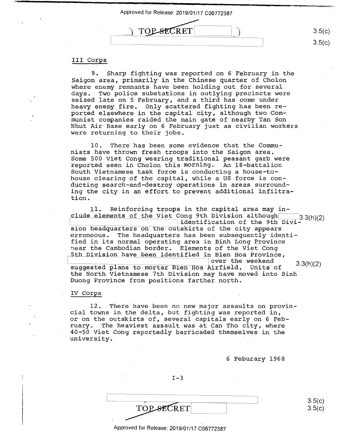

# III **Corps.**  III Corps.

9. Sharp fighting was reported on 6 February in the 9. Sharp fighting was reported on 6 February in the Saigon area, primarily in the Chinese quarter of Cholon where enemy remnants have been holding out for several where enemy remnants have been holding out for several days. Two police substations in outlying precincts were days. Two police substations in outlying precincts were seized late on 5 February, and a third has come under seized late on 5 February, and <sup>a</sup> third-has come under berica race on 5 restaary, and a chira mas come and red red heavy enemy fire. Only scattered fighting has been reported elsewhere in the capital city, although two Communist companies raided the main gate of nearby Tan Son munist companies raided the main gate ofnearby Tan Son Nhut Air Base early on 6 February just as civilian workers Nhut Air Base early on 6 February just as civilian workers were returning to their jobs. were returning to their jobs.

10. There has been some evidence that the Commu-10. There has been some evidence that the Commu nists have thrown fresh troops into the Saigon area. nists have thrown fresh troops into the Saigon area. Some 500 Viet Cong wearing traditional peasant garb were Some 500 Viet Cong wearing traditional peasant garb were\_ reported seen in Cholon this morning. An 18-battalion reported seen in Cholon this morning. An lB—battalion South Vietnamese task force is conducting a house-to-South Vietnamese task force is conducting <sup>a</sup> house-to-. bouth victhanced then force is conducting a house to ducting search-and-destroy operations in areas surround-ducting search—and—destroy operations in areas surround~ ing the city in an effort to prevent additional infiltra-ing the city in an effort to prevent additional infiltration. tion.

11. Reinforcing troops in the capital area may in-11. Reinforcing troops in the capital area may in~ de elements of the Viet Cong 9th Division although 3.3(h)(2) identification of the 9th Divi-· identification skirts of the cityoi 'iie iii Divi—|<br>| identification of the still bivi=<br>| identification of the city appears erroneous. The headquarters has been subsequently identi-erroneous. The headquarters has been subsequently identi—. fied in its normal operating area in Binh Long Province fied in its normal operating area in Binh LOng Province near the Cambodian border. Elements of the Viet Cong near the Cambodian border. Elements of the Viet Cong h Division have been identified in Bien Hoa Provin'ce, b Division have been identified in Bien Hoa Province, over the weekend over the weekend 33(h)(2) suggested plans to mortar Bien Hoa Airfield. Units of 3.3(h)(2) the North Vietnamese 7th Division may have moved into Binh the North Vietnamese\_7th Division may have moved into Binh Duong Province from positions farther north. Duong Province from positions farther north.

## IV Corps IV Corps

12. There have been no new major assaults on provin-12. There have been no new major assaults on provincial towns in the delta, but fighting was reported in, cial towns in the delta, but fighting was reported in, or on the outskirts of, several capitals early on 6 Feb-or on the outskirts of, several capitals early on 6'Feb ruary. The heaviest assault was at Can Tho city, where ruary. The heaviest assault was at Can Tho city. where 40-50 Viet Cong reportedly barricaded themselves in the 40-50 Viet Cong reportedly barricaded themselves in the<br>university. university. '

6 Feburary 1968 6 Feburary 1968

3.5(c) 3.5(c)

 $I-3$ 

Approved for Release: 2019/01/17 C06772387 Approved for Release: 2019/01/17 C-06772387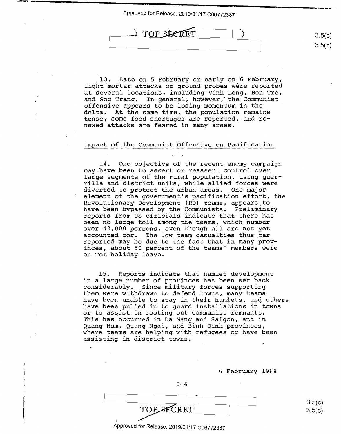TOP SECRET

13. Late on 5 February or early on 6 February, .13. Late on 5 February or early on 6 February, light mortar attacks or ground probes were reported at several locatibns, including Virih Long, Ben Tre, at several locatiOns, including Vinh Long, Ben-Tre, and Soc Trang. In general, however, the Communist offensive appears to be losing momentum in the offensive appears to be losing momentum in the delta. At the same time, the population remains delta. At the same time, the population remains tense, some food-shortages are reported, and re-tense, some food shortages are reported,.and re newed attacks are feared in many areas. newed attacks are feared in many areas.

## Impact of the Communist Offensive on Pacification Impact of the Communist Offensive on Pacification

14. One objective of the·recent enemy campaign 14. One objective of the recent enemy campaign may have been to assert or reassert control over may have been to assert or reassert control over large segments of the rural population, using guer-large segments of the rural population, using guer rilla and district units, while allied forces were rilla and district units, while allied forces were diverted to protect the urban areas. One major diverted to protect the.urban areas. One major element of the government's pacification effort, the element of the government's pacification effort, the Revolutionary Development (RD) teams, appears to Revolutionary DevelOpment (RD) teams, appears to have been bypassed by the Communists. Preliminary have been bypassed by the Communists. Preliminary reports from US officials indicate that there has reports from US officials indicate that there has been no large toll among the teams, which number been no large toll among the teams, which number over 42,000 persons, even though all are not yet over 42,000 persons, even though all are not yet accounted. for. The low team casualties thus far accounted for. The low team casualties thus far reported-may be due to the fact that in many prov-reported may be due to the fact that in many prov inces, about 50 percent of the teams' members were inces, about 50 percent of the teamsf members were on Tet holiday leave. on Tet holiday leave.

15. Reports indicate that hamlet development 15. Reports indicate that hamlet development in a large number of provinces has been set back in <sup>a</sup> large number of provinces has been set back considerably. Since military forces supporting considerably. Since military forces supporting them were withdrawn to defend towns, many teams them were withdrawn to defend towns, many teams have been unable to stay in their hamlets, and others have been unable to stay in their hamlets, and others have been pulled in to guard installations in towns have been pulled in to guard installations in towns or to assist in rooting out Communist remnants. or to assist.in rooting out Communist remnants. This has occurred in Da Nang and Saigon, and in This has occurred in Da Nang and Saigon, and in Quang Nam, Quang Ngai, and Binh Dinh provinces, Quang Nam, Quang Ngai, and Binh Dinh provinces, where teams are helping with refugees or have been where teams are helping with refugees or have been assisting in district towns. assisting in district towns.

|                                            | 6 February 1968 |
|--------------------------------------------|-----------------|
| $T - 4$                                    |                 |
|                                            |                 |
| TOP SECRET                                 |                 |
| Approved for Release: 2019/01/17 C06772387 |                 |

 $3.5(c)$  $3.5(c)$ 

3.5(c) 3.5(0) 3.5(c) 3.5(0)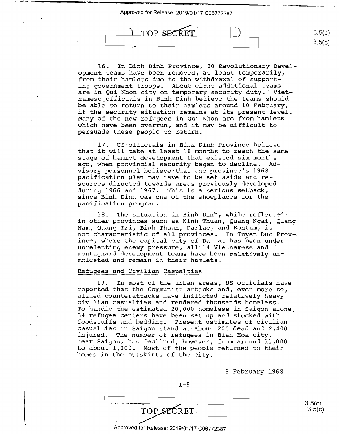TOP SECRE

16. In Binh Dinh Province, 20 Revolutionary Devel-16. In Binh Dinh Province, 20 Revolutionary Devel opment teams have been removed, at least temporarily, opment teams have been removed, at least temporarily, from their hamlets due to the withdrawal of support-from their hamlets due to the withdrawal of support ing government troops. About eight additional teams ing government troops. About eight additional teams are in Qui Nhon city on temporary security duty. Viet-are in Qui.Nhon city on temporary security duty.' Viet namese.officials in Binh Dinh believe the teams should namese officials in Binh Dinh believe the teams should be able to return to their hamlets around 10 February, be able to return to-their hamlets around 10-February, if the security situation remains at its present level. if the security situation remains at its present level. Many of the new refugees iri Qui Nhon are from hamlets Many ofthe new refugees in Qui Nhon are from hamlets

 $3.5(c)$  $3.5(c)$ 

17. US officials in Binh Dinh Province believe 17. US-officials in Binh Dinh Province believe that it will take at least 18 months to reach the same that it will take at least 18 months to reach the same stage of hamlet development that existed six months stage of hamlet development that existed six months ago, when provincial security began to decline. Ad-ago, when-provincial security began to decline. Ad visory personnel believe that the province's 1968 visory personnel believe that the.province's 1968 pacification plan may have to be.set aside and re-pacification plan may have to be set aside and-re sources directed towards areas previously developed sources directed towards areas previously developed during 1966 and 1967. This is a serious setback, during 1966 and 1967. This is <sup>a</sup> Serious setback, since Binh Dinh was one of the showplaces for the since Binh Dinh was one of the showplaces for the pacification program. pacification program.

Many of the new refugees in Qui Nhon are from hamiets<br>which have been overrun, and it may be difficult to

persuade these people to return. persuade these people to return. '

18. The situation in Binh Dinh, while reflected in other provinces such as Ninh Thuan, Quang Ngai, Quang in other provinces such as Ninh Thuan, Quang Ngai, Quang Nam, Quang Tri, Binh Thuan, Darlac, and Kontum, is Nam, Quang Tri, Binh Thuan, Darlac, and Kontum, is not characteristic-of all provinces. In Tuyen Due Prov-not characteristic of all provinces. In Tuyen-Duc Prov—. ince,· where the capital city of Da Lat has been upder ince, where the capital city of Da Lat has been under moo, where the capital tre, or for the seem dider<br>unrelenting enemy pressure, all 14 Vietnamese and montagnard development teams have been relatively un-montagnard development teams have been relatively un— molested and remain in their hamlets.

## Refugees and Civilian Casualties Refugees and Civilian Casualties

19. In most of the urban areas, US officials have 19.' In most of the urban areas, US officials have reported that the Communist attacks and, even more so, reported that the Communist attacks and, even more so, allied counterattacks have inflicted relatively heavy allied counterattacks\_have inflicted relatively heavy\_ civilian casualties and rendered thousands homeless. · civilian casualties and rendered thousands homeless. To handle the estimated 20,000 homeless in Saigon alone, To handle the estimated 20,000 homeless in Saigon alone, 34 refugee centers have been set up and stocked with 34 refugee centers have been set up-and stocked with foodstuffs and bedding. Present estimates of civilian foodstuffs and bedding. Present estimates of civilian casualties in Saigon stand at about 200 dead and 2,400 casualties in Saigon stand at-about 200 dead and 2,400 injured. The number of refugees in-Bien Hoa **city,**  injured. The number of refugees in-Bien Hoa city, near Saigon, has declined, however, from around 11,000 near Saigon, has declined, h0wever, from around 11,000 to about 1,000. Most of the people returned to their to about 1,000. Most of the people returned to their homes in the outskirts of the city. homes in the outskirts of the city. '

6 February 1968 6 February 1968

3.5(c)<br>3.5(c)

3.5(c)

TOP SECRET Approved for Release: 2019/01/17 C06772387 Approved for Release: 2019/01/17 006772387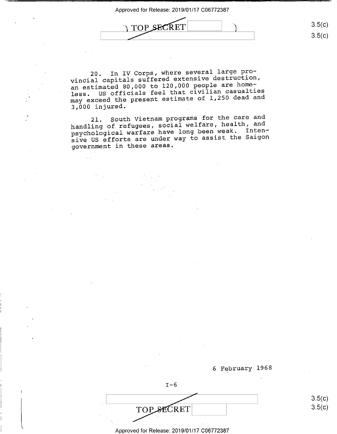

3.5(c) 3.5(c)

20. In IV Corps, where several large pro-20. In IV Corps, where several large pro vincial capitals suffered extensive destruction, vincial capitals suffered extensive destruction, an estimated 80,000 to 120,000 people are home-an estimated 80,000 to 120,000 people are home an estimated 60,000 to 120,000 portion<br>less. US officials feel that civilian casualties may exceed the present estimate of 1,250 dead and may exceed the presen<sup>t</sup> estimate of 1,250 dead and 3,000 injured. 3,000 injured.

21. Squth Vietnam programs for the care and 21.\_ South Vietnam programs for the care and handling of refugees, social welfare, health, and handling of refugees, social welfare, health, and psychological warfare have long been weak. Inten-psychological warfare have long been weak. Inten sive US efforts are under way to assist the Saigon sive-US efforts are under way to assist the Saigon government in these areas. governmen<sup>t</sup> in these areas.

6 February 1968  $I-6$ TOP SECRET 3.5(c)

3.5(c) 3.5(c)

Approved for Release: 2019/01/17 C06772387 Approved for Release: 2019/01/17 006772387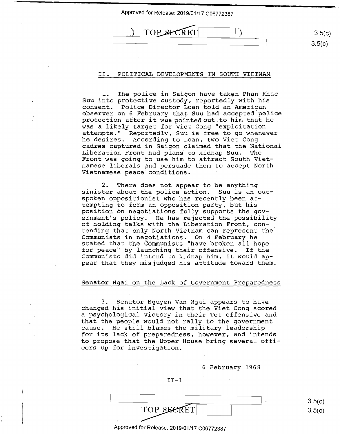



3.5(c)  $3.5(c)$ 

# II. POLITICAL DEVELOPMENTS IN SOUTH VIETNAM II. POLITICAL DEVELOPMENTS IN SOUTH VIETNAM

)

1. The police in Saigon have taken Phan Khac l. The police in Saigon have taken Phan Khac Suu into protective custody, reportedly with his Suu into protective custody, reportedly with his consent. Police Director Loan told an American consent. Police Director Loan told an American observer on 6 February that Suu had accepted police observer on 6 February that Suu had accepted police<br>protection after it was pointed out to him that he was a likely target for Viet Cong "exploitation was <sup>a</sup> likely target for Viet Cong "exploitation attempts." Reportedly, Suu is free to go whenever attempts." Reportedly, Suu is free to go whenever he desires. According to Loan, two Viet Cong he desires. According to Loan, two Viet Cong cadres captured in Saigon claimed that the National cadres captured in Saigon claimed that the National Liberation Front had plans to kidnap Suu. The Liberation Front had plans to kidnap Suu. The Front was going to use him to attract South Viet-Front was going to use him to attract South Viet------- was geing to about the accrube beam view Vietnamese peace conditions. Vietnamese peace conditions. '

2. There does not appear to be anything 2. There does not appear to be anything sinister about the police action. Suu is an outspoken oppositionist who has recently been at-spoken oppositionist who has recently been at tempting to form an opposition party, but his tempting to form an Opposition party, but his position on negotiations fully supports the gov-position On negotiations fully supports the gov ernment's policy. He has rejected the possibility ernment's policy. .He has rejected the possibility of holding talks with the Liberation Front, con-of holding talks with the Liberation Front, con- . tending that only North Vietnam can represent the tending that only North Vietnam can represent the Communists in negotiations. On 4 February he Communists in negotiations. On 4 February he stated that the Communists "have·broken all hope stated that the COmmunists "have broken all hope for peace" by launching their offensive. If the for peace" by launching their offensive. If the Communists did intend to kidnap him, it would ap-Communists did intend to kidnap him, it would ap pear that they misjudged his attitude toward them. pear that they misjudged his attitude toward them.

## Senator Ngai on the Lack of Government Preparedness Senator Ngai on the Lack of Government Preparedness

3. Senator Nguyen Van Ngai appears to have . 3. Senator Nguyen Van Ngai appears to have changed his initial view that the Viet Cong scored changed his initial view that the Viet Cong scored a psychological victory in their Tet offensive and <sup>a</sup> psychological victory in their Tet offensive and that the people would not rally to the government that the people would not rally to the government cause. He still blames the military leadership cause.\_ He still blames the military leadership for its lack of preparedness, however, and intends for its lack of preparedness, however, and intends to propose that the Upper House bring several offi-to prOpose that the Upper House bring several offi cers up for investigation. cers up for investigation.

6 February 1968 6 February 1968

II-1 II-l

TOP SECRET

Approved for Release: 2019/01/17 C06772387 Approved for Release: 2019/01/17 006772387

3.5(c) 3.5(c)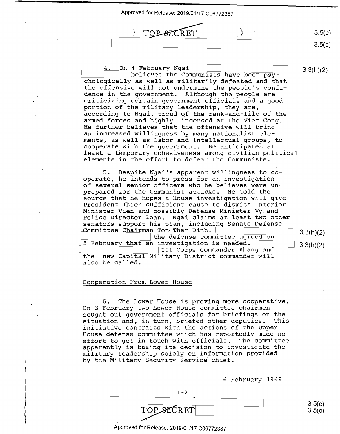

4. On 4 February Ngai<br>believes the Communists have been psy-<br>3.3(h)(2) chologically as well as militarily defeated and that chologically as well as militarily defeated and that the offensive will not undermine the people's confi-the offensive will not undermine the peOple's confi dence in the government. Although the people are dence in the government. Although the people are criticizing certain government officials and a good criticizing certain government officials and <sup>a</sup> good portion of the military leadership, they are, portion of the military leadership, they are, according to Ngai, proud qf the rank-and-file of the according to Ngai, proud of the rank—and-file of the armed forces and highly incensed at the Viet Cong. armed forces and highly incensed atthe Viet Cong. He further believes that the offensive will bring He further believes that the offensive will bring an increased willingness by many nationalist ele-an increased willingness by many nationalist ele ments, as well as labor and intellectual groups, to ments, as well as labor and intellectual-groups, to cooperate with the government. He anticipates at c00perate with the government. He anticipates at least a temporary cohesiveness among civilian political least <sup>a</sup> temporary cohesiveness among civilian political elements in the effort to defeat the Communists. elements in the effort to defeat the Communists. 5. Despite Ngai's apparent willingness to co-5. Despite Ngai's apparent willingness to cooperate, he intends to press for an investigation Operate, he intends to press for an investigation of several senior officers who he believes were un-of several senior officers who he believes were un prepared for the Communist attacks. He told the prepared for the Communist attacks. He told the source that he hopes a House investigation will give source that he h0pes <sup>a</sup> House investigation will give President Thieu sufficient cause to dismiss Interior President Thieu sufficient cause to dismiss Interior Minister Vien and possibly Defense Minister Vy. and Minister Vien and possibly Defense Minister vy and Police Director Loan. Ngai claims at least two other Police Director Loan.- Ngai claims at least two other senators support his plan, including Senate Defense senators support his plan, including Senate Defense  $\n *Commititee Chairman*$  Ton That Dinh.  $\boxed{\qquad \qquad \qquad }$  3.3(h)(2) I the defense committee agreed on  $\frac{5 \text{ February that}}{2 \cdot 3.3(h)}$  investigation is needed.  $\frac{3.3(h)}{2}$ III Corps Commander Khang and the new Capital Military District commander will the new Capital M1 itary District commander will also be called. also be called.

## Cooperation From Lower House

6. The Lower House is proving more cooperative. 6. The Lower House is proving more c00perative. On 3 February two Lower House committee chairmen On 3 February two Lower House committee chairmen sought out government officials for briefings on the sought out governmen<sup>t</sup> officials for briefings on the situation and, in ~urn, briefed other deputies. This situation and, in turn, briefed other deputies. This initiative contrasts with the actions of the Upper initiative contrasts with the actions of the Upper House defense committee which has reportedly made no House defense committee which has reportedly made no effort to get in touch with officials. The committee effort to get in touch with officials. The committee apparently is basing its decision to investigate the apparently is basing its decision to investigate the military leadership solely on information provided military leadership solely on information provided military demonstrate colory on incrementary

6 February 1968 6 February 1968

TOP SECRET

 $II-2$ 

Approved for Release: 2019/01/17 C06772387 Approved for Release: 2019/01/17 006772387

3.5(c) 3.5(c)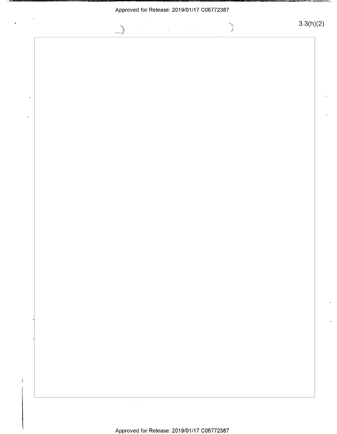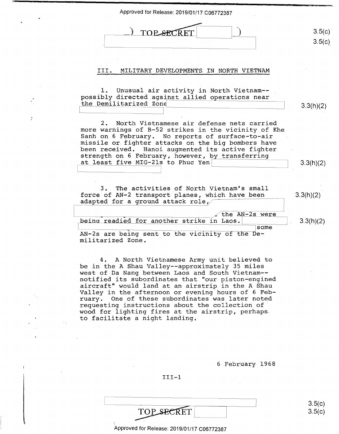| Approved for Release: 2019/01/17 C06772387                                                                                                                                                                                                                                                                                                                      |                  |
|-----------------------------------------------------------------------------------------------------------------------------------------------------------------------------------------------------------------------------------------------------------------------------------------------------------------------------------------------------------------|------------------|
| <b>TOP SECRET</b>                                                                                                                                                                                                                                                                                                                                               | 3.5(c)<br>3.5(c) |
| MILITARY DEVELOPMENTS IN NORTH VIETNAM<br>III.                                                                                                                                                                                                                                                                                                                  |                  |
| Unusual air activity in North Vietnam--<br>possibly directed against allied operations near<br>the Demilitarized Zone                                                                                                                                                                                                                                           | 3.3(h)(2)        |
| North Vietnamese air defense nets carried<br>2.<br>more warnings of B-52 strikes in the vicinity of Khe<br>Sanh on 6 February. No reports of surface-to-air<br>missile or fighter attacks on the big bombers have<br>been received. Hanoi augmented its active fighter<br>strength on 6 February, however, by transferring<br>at least five MIG-21s to Phuc Yen |                  |
| 3. The activities of North Vietnam's small                                                                                                                                                                                                                                                                                                                      | 3.3(h)(2)        |
| force of AN-2 transport planes, which have been<br>adapted for a ground attack role,<br>the AN-2s were                                                                                                                                                                                                                                                          | 3.3(h)(2)        |
| being readied for another strike in Laos.<br>some<br>AN-2s are being sent to the vicinity of the De-<br>militarized Zone.                                                                                                                                                                                                                                       | 3.3(h)(2)        |
| 4. A North Vietnamese Army unit believed to<br>be in the A Shau Valley--approximately 35 miles<br>west of Da Nang between Laos and South Vietnam--<br>notified its subordinates that "our piston-engined<br>aircraft" would land at an airstrip in the A Shau<br>Valley in the afternoon or evening hours of 6 Feb-                                             |                  |

 $\cdot$ 

varity in the differment of evening hears of 5 rest<br>ruary. One of these subordinates was later noted radiy: One of enese sabordinates was facer noted wood for lighting fires at the airstrip, perhaps. wood for fighting fires at the ruary. One of these subordinates was later noted requesting instructions about the collection of' wood for lighting fires at the airstrip, perhapsto faCilitate <sup>a</sup> night landing.

6 February 1968 6 February 1968

3.5(c) 3.5(e) 3.5(0)

3.5(c)

III-1 III-l

TOP SECRET

:35:

Approved for Release: 2019/01/17 C06772387 Approved for Release: 2019/01/17 C06772387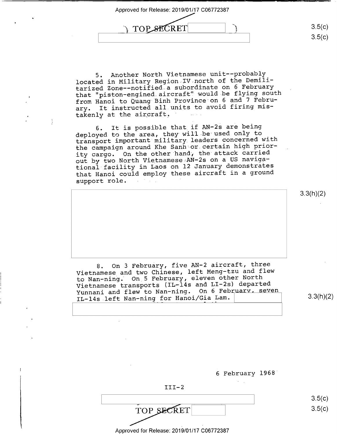proved for Release: 2019/01/17 C06772387<br> **JTOP SECRET** 3.5(c) "'1

3.5(c) 3.5(c)

5. Another North Vietnamese unit--probably 5. Another North Vietnamese unit——probably located in Military Region-IV.north of the Demili-located in Military Region IV north ofthe Demili tarized Zone--notified-a subordinate on 6 February tarized Zone-—notified <sup>a</sup> subordinate on <sup>6</sup> February that "piston-engined.aircraft" would be flying south that "piston-engined.aircraft"-would.be flying south from Hanoi to Quang Binh Province·on 6 and 7 Febru-from Hanoi to Quang Binh Province on <sup>6</sup> and <sup>7</sup> Febru ary. It instructed all units to avoid firing mis-ary. It instructed all units to avoid firing misdiy. It is ensured in the set of the set of the set of the set of the set of the set of the set of the set of t

6. It is possible that if AN-2s are being deployed to the area, they wiil-be used only to deployed to the area, they will be used only to transport important· military. leaders concerned with transport important military leaders concerned with the campaign around Khe Sanh or certain high prior-the campaign around Khe Sanh or.certain high prior ity cargo. On the other handj the attack carried ity cargo. On the other'hand, the attack carried - Ly cargo: Ch Chernamese AN-2s on a US navigational facility in Laos on 12 January demonstrates tional facility in Laos on <sup>12</sup> January demonstrates that Hanoi could employ these aircraft in a ground that Hanoi could employ these aircraft in <sup>a</sup> groun<sup>d</sup> support role.

8. On 3 February, five AN-2 aircraft, three 8. On <sup>3</sup> February, five AN-Z aircraft, three Vietnamese and two Chinese, left Meng-tzu and flew Vietnamese and two Chinese, left Meng-tzu and flew to Nan-ning. On 5 February, eleven other North Vietnamese transports (IL-14s and LI-2s) departed Vietnamese transports (IL—145 and LI—ZS) departed Yicthamese cransperse (11 111 111 on 6 February, seven Initially and liew to wan hing:  $\frac{1}{2}$  on  $\frac{1}{2}$  and  $\frac{1}{2}$  and  $\frac{1}{2}$  3.3(h)(2)

 $3.3(h)(2)$ 

3.3(h)(2) 3.3(h)(2)

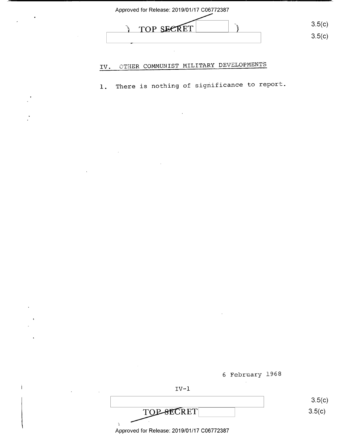

#### IV. OTHER COMMUNIST MILITARY DEVELOPMENTS

1. There is nothing of significance to report. 1. There is nothing ofsignificance to report.

6 February 1968 6 February 1968



TOP-SECRET TOP-SECRET 3.5(c)

 $\lambda$ 

Approved for Release: 2019/01/17 C06772387 Approved for Release: 2019/01/17 006772387

 $3.5(c)$ 3.5(c)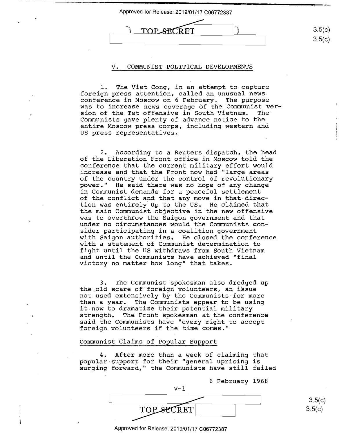

#### V. COMMUNIST POLITICAL DEVELOPMENTS V. COMMUNIST POLITICAL DEVELOPMENTS

1. The Viet Cong, in an attempt to capture l. The Viet Cong, in an attempt to capture foreign press attention, called an unusual news. foreign press attention, called an unusual news. conference in Moscow on 6 February. The purpose conference in Moscow on 6 Februarys The purpose was to increase news coverage of the Communist ver-was to increase news coverage cf the Communist ver sion of the Tet offensive in South Vietnam. The· sion ofthe Tet offensive in South Vietnama The-Communists gave plenty of advance notice to the Communists gave plenty of advance notice to the entire Moscow press corps, including western and entire Moscow press corps, including western and US press representatives. US press representativesa

2. According to a Reuters dispatch, the head of the Liberation Front office in Moscow told the of the Liberation Front office in Moscow told the conference that the current military effort would conference that the current military effort would increase ·and that the Front now had "large areas \_increase and that the Front now had "large areas of the country under the control of revolutionary of the country under the control of revolutionary power." He said there was no hope of any change power," He said there was no hope of any change in Communist demands for a peaceful settlement in Communist demands for <sup>a</sup> peaceful settlement of the conflict and that any move in that-direc-of the conflict and that any move in that direction was entirely up to the us. He claimed that tion was entirely up to the US» He claimed that the main Communist objective in the new offensive the main Communist objective in the new offensive was to overthrow the Saigon government and that was to overthrow the Saigon government and that under no circumstances would the Communists con-under no circumstances would the Communists consider participating in a coalition government sider participating in <sup>a</sup> coalition government with Saigon authorities. He closed the conference with Saigon authoritiesa He closed the conference with a statement of Communist determination to with a statement of Communist determination to fight until the US withdraws from South Vietnam fight until the US withdraws from South Vietnam and until the Communists have achieved "final and until the Communists have achieved "final and different one communities have donieved finds

3. The Communist spokesman also dredged up 3. The Communist spokesman also dredged up the \_old scare of'foreign volunteers, an issue the old scare of foreign volunteers, an iSsue not used extensively by the Communists-for more not used extensively by the Communists-for more than a year. The Communists appear to be using than <sup>a</sup> year. The Communists appear to be using it.now to dramatize their potential military it.now to dramatize their potential military strength. The Front spokesman at the conference said the Communists have "every right to accept said the Communists have "every right to accept foreign volunteers if the time comes." foreign volunteers if the time comes."

## Communist Claims of Popular Support

4. After more than a week of claiming that 4. After more than <sup>a</sup> week of claiming that popular-support for their "general uprising is pOpular-support for their "general uprising is surging forward," the Communists have still failed surging forward," the Communists have still failed

6 February 1968 6 February 1968

V-1 V—l E de la companya de la companya de la companya de la companya de la companya de la companya de la companya de TOP SECRET

3.5(c) 3.5(c)

Approved for Release: 2019/01/17 C06772387 Approved for Release: 2019/01/17 C0'6772387